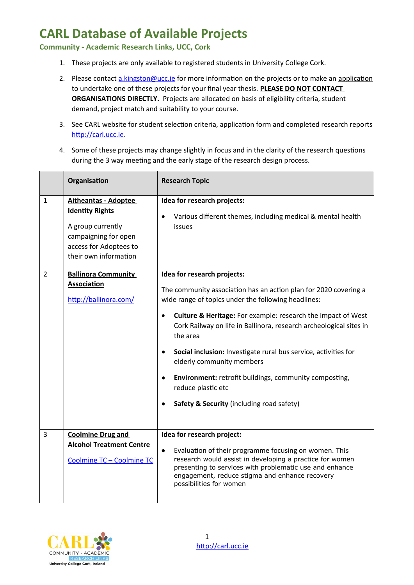**Community - Academic Research Links, UCC, Cork**

- 1. These projects are only available to registered students in University College Cork.
- 2. Please contact [a.kingston@ucc.ie](mailto:a.kingston@ucc.ie) for more information on the projects or to make an application to undertake one of these projects for your final year thesis. **PLEASE DO NOT CONTACT ORGANISATIONS DIRECTLY.** Projects are allocated on basis of eligibility criteria, student demand, project match and suitability to your course.
- 3. See CARL website for student selection criteria, application form and completed research reports [http://carl.ucc.ie.](http://carl.ucc.ie/)
- 4. Some of these projects may change slightly in focus and in the clarity of the research questions during the 3 way meeting and the early stage of the research design process.

|                | Organisation                                                                                                                                          | <b>Research Topic</b>                                                                                                                                                                                                                                                                                                                                                                                                                                                                                                                                                                          |
|----------------|-------------------------------------------------------------------------------------------------------------------------------------------------------|------------------------------------------------------------------------------------------------------------------------------------------------------------------------------------------------------------------------------------------------------------------------------------------------------------------------------------------------------------------------------------------------------------------------------------------------------------------------------------------------------------------------------------------------------------------------------------------------|
| $\mathbf{1}$   | <b>Aitheantas - Adoptee</b><br><b>Identity Rights</b><br>A group currently<br>campaigning for open<br>access for Adoptees to<br>their own information | Idea for research projects:<br>Various different themes, including medical & mental health<br>issues                                                                                                                                                                                                                                                                                                                                                                                                                                                                                           |
| $\overline{2}$ | <b>Ballinora Community</b><br><b>Association</b><br>http://ballinora.com/                                                                             | Idea for research projects:<br>The community association has an action plan for 2020 covering a<br>wide range of topics under the following headlines:<br><b>Culture &amp; Heritage:</b> For example: research the impact of West<br>$\bullet$<br>Cork Railway on life in Ballinora, research archeological sites in<br>the area<br>Social inclusion: Investigate rural bus service, activities for<br>$\bullet$<br>elderly community members<br><b>Environment:</b> retrofit buildings, community composting,<br>$\bullet$<br>reduce plastic etc<br>Safety & Security (including road safety) |
| 3              | <b>Coolmine Drug and</b><br><b>Alcohol Treatment Centre</b><br>Coolmine TC - Coolmine TC                                                              | Idea for research project:<br>Evaluation of their programme focusing on women. This<br>$\bullet$<br>research would assist in developing a practice for women<br>presenting to services with problematic use and enhance<br>engagement, reduce stigma and enhance recovery<br>possibilities for women                                                                                                                                                                                                                                                                                           |

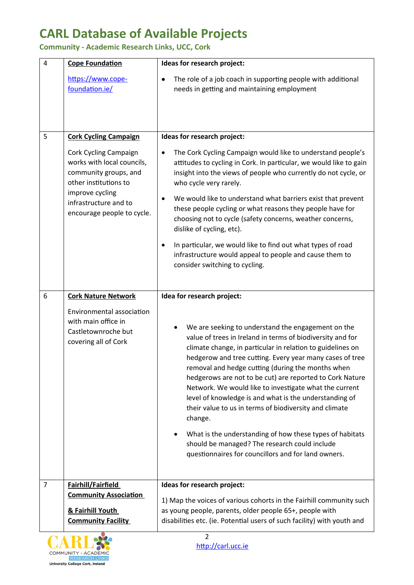**Community - Academic Research Links, UCC, Cork**

| 4              | <b>Cope Foundation</b>                                                                                                                                                          | Ideas for research project:                                                                                                                                                                                                                                                                                                                                                                                                                                                                                                                                                                                                                                                                                              |
|----------------|---------------------------------------------------------------------------------------------------------------------------------------------------------------------------------|--------------------------------------------------------------------------------------------------------------------------------------------------------------------------------------------------------------------------------------------------------------------------------------------------------------------------------------------------------------------------------------------------------------------------------------------------------------------------------------------------------------------------------------------------------------------------------------------------------------------------------------------------------------------------------------------------------------------------|
|                | https://www.cope-<br>foundation.ie/                                                                                                                                             | The role of a job coach in supporting people with additional<br>$\bullet$<br>needs in getting and maintaining employment                                                                                                                                                                                                                                                                                                                                                                                                                                                                                                                                                                                                 |
| 5              | <b>Cork Cycling Campaign</b>                                                                                                                                                    | Ideas for research project:                                                                                                                                                                                                                                                                                                                                                                                                                                                                                                                                                                                                                                                                                              |
|                | Cork Cycling Campaign<br>works with local councils,<br>community groups, and<br>other institutions to<br>improve cycling<br>infrastructure and to<br>encourage people to cycle. | The Cork Cycling Campaign would like to understand people's<br>$\bullet$<br>attitudes to cycling in Cork. In particular, we would like to gain<br>insight into the views of people who currently do not cycle, or<br>who cycle very rarely.                                                                                                                                                                                                                                                                                                                                                                                                                                                                              |
|                |                                                                                                                                                                                 | We would like to understand what barriers exist that prevent<br>$\bullet$<br>these people cycling or what reasons they people have for<br>choosing not to cycle (safety concerns, weather concerns,<br>dislike of cycling, etc).                                                                                                                                                                                                                                                                                                                                                                                                                                                                                         |
|                |                                                                                                                                                                                 | In particular, we would like to find out what types of road<br>$\bullet$<br>infrastructure would appeal to people and cause them to<br>consider switching to cycling.                                                                                                                                                                                                                                                                                                                                                                                                                                                                                                                                                    |
| 6              | <b>Cork Nature Network</b>                                                                                                                                                      | Idea for research project:                                                                                                                                                                                                                                                                                                                                                                                                                                                                                                                                                                                                                                                                                               |
|                | Environmental association<br>with main office in<br>Castletownroche but<br>covering all of Cork                                                                                 | We are seeking to understand the engagement on the<br>value of trees in Ireland in terms of biodiversity and for<br>climate change, in particular in relation to guidelines on<br>hedgerow and tree cutting. Every year many cases of tree<br>removal and hedge cutting (during the months when<br>hedgerows are not to be cut) are reported to Cork Nature<br>Network. We would like to investigate what the current<br>level of knowledge is and what is the understanding of<br>their value to us in terms of biodiversity and climate<br>change.<br>What is the understanding of how these types of habitats<br>should be managed? The research could include<br>questionnaires for councillors and for land owners. |
| $\overline{7}$ | Fairhill/Fairfield                                                                                                                                                              | Ideas for research project:                                                                                                                                                                                                                                                                                                                                                                                                                                                                                                                                                                                                                                                                                              |
|                | <b>Community Association</b><br>& Fairhill Youth<br><b>Community Facility</b>                                                                                                   | 1) Map the voices of various cohorts in the Fairhill community such<br>as young people, parents, older people 65+, people with<br>disabilities etc. (ie. Potential users of such facility) with youth and                                                                                                                                                                                                                                                                                                                                                                                                                                                                                                                |



[http://carl.ucc.ie](http://carl.ucc.ie/)  2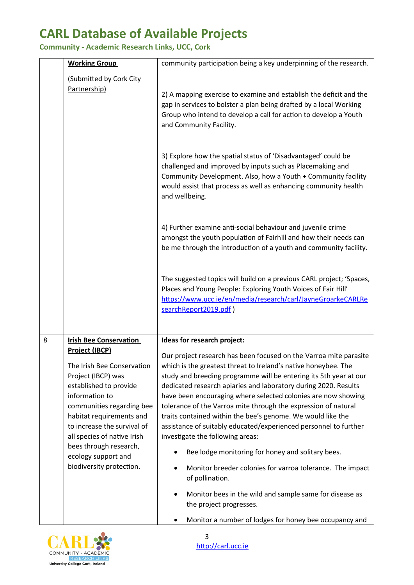**Community - Academic Research Links, UCC, Cork**

| <b>Working Group</b>                                                                                                                                                                                                                                                                                               | community participation being a key underpinning of the research.                                                                                                                                                                                                                                                                                                                                                                                                                                                                                                                                                                                                                                       |
|--------------------------------------------------------------------------------------------------------------------------------------------------------------------------------------------------------------------------------------------------------------------------------------------------------------------|---------------------------------------------------------------------------------------------------------------------------------------------------------------------------------------------------------------------------------------------------------------------------------------------------------------------------------------------------------------------------------------------------------------------------------------------------------------------------------------------------------------------------------------------------------------------------------------------------------------------------------------------------------------------------------------------------------|
| (Submitted by Cork City<br>Partnership)                                                                                                                                                                                                                                                                            | 2) A mapping exercise to examine and establish the deficit and the<br>gap in services to bolster a plan being drafted by a local Working<br>Group who intend to develop a call for action to develop a Youth<br>and Community Facility.                                                                                                                                                                                                                                                                                                                                                                                                                                                                 |
|                                                                                                                                                                                                                                                                                                                    | 3) Explore how the spatial status of 'Disadvantaged' could be<br>challenged and improved by inputs such as Placemaking and<br>Community Development. Also, how a Youth + Community facility<br>would assist that process as well as enhancing community health<br>and wellbeing.                                                                                                                                                                                                                                                                                                                                                                                                                        |
|                                                                                                                                                                                                                                                                                                                    | 4) Further examine anti-social behaviour and juvenile crime<br>amongst the youth population of Fairhill and how their needs can<br>be me through the introduction of a youth and community facility.                                                                                                                                                                                                                                                                                                                                                                                                                                                                                                    |
|                                                                                                                                                                                                                                                                                                                    | The suggested topics will build on a previous CARL project; 'Spaces,<br>Places and Young People: Exploring Youth Voices of Fair Hill'<br>https://www.ucc.ie/en/media/research/carl/JayneGroarkeCARLRe<br>searchReport2019.pdf)                                                                                                                                                                                                                                                                                                                                                                                                                                                                          |
| 8<br><b>Irish Bee Conservation</b>                                                                                                                                                                                                                                                                                 | Ideas for research project:                                                                                                                                                                                                                                                                                                                                                                                                                                                                                                                                                                                                                                                                             |
| Project (IBCP)<br>The Irish Bee Conservation<br>Project (IBCP) was<br>established to provide<br>information to<br>communities regarding bee<br>habitat requirements and<br>to increase the survival of<br>all species of native Irish<br>bees through research,<br>ecology support and<br>biodiversity protection. | Our project research has been focused on the Varroa mite parasite<br>which is the greatest threat to Ireland's native honeybee. The<br>study and breeding programme will be entering its 5th year at our<br>dedicated research apiaries and laboratory during 2020. Results<br>have been encouraging where selected colonies are now showing<br>tolerance of the Varroa mite through the expression of natural<br>traits contained within the bee's genome. We would like the<br>assistance of suitably educated/experienced personnel to further<br>investigate the following areas:<br>Bee lodge monitoring for honey and solitary bees.<br>Monitor breeder colonies for varroa tolerance. The impact |
|                                                                                                                                                                                                                                                                                                                    | of pollination.<br>Monitor bees in the wild and sample same for disease as<br>the project progresses.                                                                                                                                                                                                                                                                                                                                                                                                                                                                                                                                                                                                   |
|                                                                                                                                                                                                                                                                                                                    | Monitor a number of lodges for honey bee occupancy and                                                                                                                                                                                                                                                                                                                                                                                                                                                                                                                                                                                                                                                  |



[http://carl.ucc.ie](http://carl.ucc.ie/)  3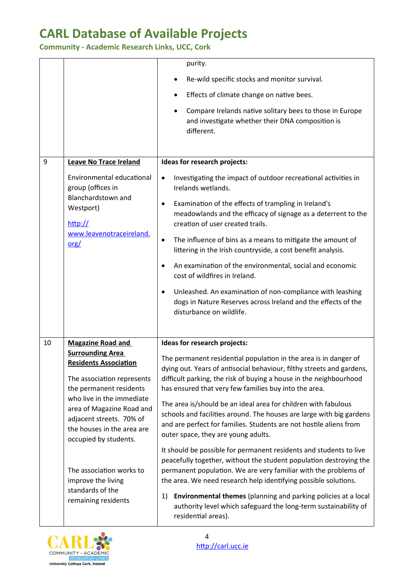**Community - Academic Research Links, UCC, Cork**

|    |                                                                                                                                           | purity.                                                                                                                                                                                                                                                                                                                                                                                                                                                                                                                                                                                                                                                                                    |
|----|-------------------------------------------------------------------------------------------------------------------------------------------|--------------------------------------------------------------------------------------------------------------------------------------------------------------------------------------------------------------------------------------------------------------------------------------------------------------------------------------------------------------------------------------------------------------------------------------------------------------------------------------------------------------------------------------------------------------------------------------------------------------------------------------------------------------------------------------------|
|    |                                                                                                                                           | Re-wild specific stocks and monitor survival.                                                                                                                                                                                                                                                                                                                                                                                                                                                                                                                                                                                                                                              |
|    |                                                                                                                                           | Effects of climate change on native bees.                                                                                                                                                                                                                                                                                                                                                                                                                                                                                                                                                                                                                                                  |
|    |                                                                                                                                           | Compare Irelands native solitary bees to those in Europe<br>$\bullet$<br>and investigate whether their DNA composition is<br>different.                                                                                                                                                                                                                                                                                                                                                                                                                                                                                                                                                    |
| 9  | <b>Leave No Trace Ireland</b>                                                                                                             | Ideas for research projects:                                                                                                                                                                                                                                                                                                                                                                                                                                                                                                                                                                                                                                                               |
|    | Environmental educational<br>group (offices in<br>Blanchardstown and<br>Westport)<br>http://<br>www.leavenotraceireland.<br>$org/$        | Investigating the impact of outdoor recreational activities in<br>$\bullet$<br>Irelands wetlands.<br>Examination of the effects of trampling in Ireland's<br>$\bullet$<br>meadowlands and the efficacy of signage as a deterrent to the<br>creation of user created trails.<br>The influence of bins as a means to mitigate the amount of<br>$\bullet$<br>littering in the Irish countryside, a cost benefit analysis.<br>An examination of the environmental, social and economic<br>cost of wildfires in Ireland.<br>Unleashed. An examination of non-compliance with leashing<br>$\bullet$<br>dogs in Nature Reserves across Ireland and the effects of the<br>disturbance on wildlife. |
| 10 | <b>Magazine Road and</b>                                                                                                                  | Ideas for research projects:                                                                                                                                                                                                                                                                                                                                                                                                                                                                                                                                                                                                                                                               |
|    | <b>Surrounding Area</b><br><b>Residents Association</b><br>The association represents<br>the permanent residents                          | The permanent residential population in the area is in danger of<br>dying out. Years of antisocial behaviour, filthy streets and gardens,<br>difficult parking, the risk of buying a house in the neighbourhood<br>has ensured that very few families buy into the area.                                                                                                                                                                                                                                                                                                                                                                                                                   |
|    | who live in the immediate<br>area of Magazine Road and<br>adjacent streets. 70% of<br>the houses in the area are<br>occupied by students. | The area is/should be an ideal area for children with fabulous<br>schools and facilities around. The houses are large with big gardens<br>and are perfect for families. Students are not hostile aliens from<br>outer space, they are young adults.                                                                                                                                                                                                                                                                                                                                                                                                                                        |
|    | The association works to<br>improve the living<br>standards of the<br>remaining residents                                                 | It should be possible for permanent residents and students to live<br>peacefully together, without the student population destroying the<br>permanent population. We are very familiar with the problems of<br>the area. We need research help identifying possible solutions.                                                                                                                                                                                                                                                                                                                                                                                                             |
|    |                                                                                                                                           | Environmental themes (planning and parking policies at a local<br>1)<br>authority level which safeguard the long-term sustainability of<br>residential areas).                                                                                                                                                                                                                                                                                                                                                                                                                                                                                                                             |

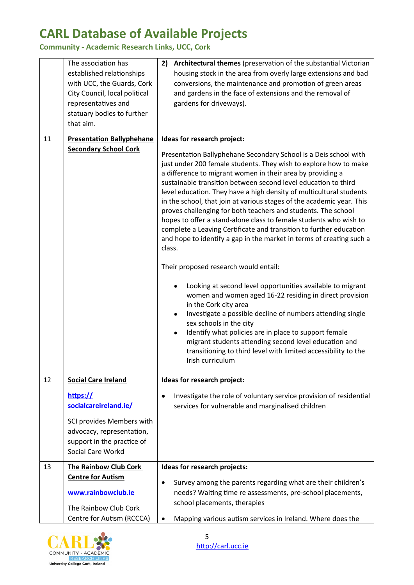**Community - Academic Research Links, UCC, Cork**

|    | The association has<br>established relationships<br>with UCC, the Guards, Cork<br>City Council, local political<br>representatives and<br>statuary bodies to further<br>that aim. | Architectural themes (preservation of the substantial Victorian<br>2)<br>housing stock in the area from overly large extensions and bad<br>conversions, the maintenance and promotion of green areas<br>and gardens in the face of extensions and the removal of<br>gardens for driveways).                                                                                                                                                                                                                                                                                                                                                                                                                                                       |
|----|-----------------------------------------------------------------------------------------------------------------------------------------------------------------------------------|---------------------------------------------------------------------------------------------------------------------------------------------------------------------------------------------------------------------------------------------------------------------------------------------------------------------------------------------------------------------------------------------------------------------------------------------------------------------------------------------------------------------------------------------------------------------------------------------------------------------------------------------------------------------------------------------------------------------------------------------------|
| 11 | <b>Presentation Ballyphehane</b><br><b>Secondary School Cork</b>                                                                                                                  | Ideas for research project:<br>Presentation Ballyphehane Secondary School is a Deis school with<br>just under 200 female students. They wish to explore how to make<br>a difference to migrant women in their area by providing a<br>sustainable transition between second level education to third<br>level education. They have a high density of multicultural students<br>in the school, that join at various stages of the academic year. This<br>proves challenging for both teachers and students. The school<br>hopes to offer a stand-alone class to female students who wish to<br>complete a Leaving Certificate and transition to further education<br>and hope to identify a gap in the market in terms of creating such a<br>class. |
|    |                                                                                                                                                                                   | Their proposed research would entail:<br>Looking at second level opportunities available to migrant<br>women and women aged 16-22 residing in direct provision<br>in the Cork city area<br>Investigate a possible decline of numbers attending single<br>sex schools in the city<br>Identify what policies are in place to support female<br>$\bullet$<br>migrant students attending second level education and<br>transitioning to third level with limited accessibility to the<br>Irish curriculum                                                                                                                                                                                                                                             |
| 12 | <b>Social Care Ireland</b>                                                                                                                                                        | Ideas for research project:                                                                                                                                                                                                                                                                                                                                                                                                                                                                                                                                                                                                                                                                                                                       |
|    | https://<br>socialcareireland.ie/<br>SCI provides Members with<br>advocacy, representation,<br>support in the practice of<br>Social Care Workd                                    | Investigate the role of voluntary service provision of residential<br>٠<br>services for vulnerable and marginalised children                                                                                                                                                                                                                                                                                                                                                                                                                                                                                                                                                                                                                      |
| 13 | The Rainbow Club Cork<br><b>Centre for Autism</b><br>www.rainbowclub.ie<br>The Rainbow Club Cork                                                                                  | Ideas for research projects:<br>Survey among the parents regarding what are their children's<br>$\bullet$<br>needs? Waiting time re assessments, pre-school placements,<br>school placements, therapies                                                                                                                                                                                                                                                                                                                                                                                                                                                                                                                                           |
|    | Centre for Autism (RCCCA)                                                                                                                                                         | Mapping various autism services in Ireland. Where does the                                                                                                                                                                                                                                                                                                                                                                                                                                                                                                                                                                                                                                                                                        |



[http://carl.ucc.ie](http://carl.ucc.ie/)  5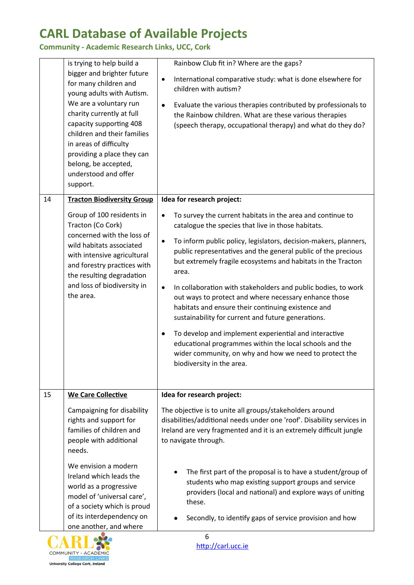**Community - Academic Research Links, UCC, Cork**

|    | is trying to help build a<br>bigger and brighter future<br>for many children and<br>young adults with Autism.<br>We are a voluntary run<br>charity currently at full<br>capacity supporting 408<br>children and their families<br>in areas of difficulty<br>providing a place they can<br>belong, be accepted,<br>understood and offer<br>support. | Rainbow Club fit in? Where are the gaps?<br>International comparative study: what is done elsewhere for<br>$\bullet$<br>children with autism?<br>Evaluate the various therapies contributed by professionals to<br>$\bullet$<br>the Rainbow children. What are these various therapies<br>(speech therapy, occupational therapy) and what do they do?                                                                                                                                                                                                                                                                                                                                                                                                                                                          |
|----|----------------------------------------------------------------------------------------------------------------------------------------------------------------------------------------------------------------------------------------------------------------------------------------------------------------------------------------------------|----------------------------------------------------------------------------------------------------------------------------------------------------------------------------------------------------------------------------------------------------------------------------------------------------------------------------------------------------------------------------------------------------------------------------------------------------------------------------------------------------------------------------------------------------------------------------------------------------------------------------------------------------------------------------------------------------------------------------------------------------------------------------------------------------------------|
| 14 | <b>Tracton Biodiversity Group</b>                                                                                                                                                                                                                                                                                                                  | Idea for research project:                                                                                                                                                                                                                                                                                                                                                                                                                                                                                                                                                                                                                                                                                                                                                                                     |
|    | Group of 100 residents in<br>Tracton (Co Cork)<br>concerned with the loss of<br>wild habitats associated<br>with intensive agricultural<br>and forestry practices with<br>the resulting degradation<br>and loss of biodiversity in<br>the area.                                                                                                    | To survey the current habitats in the area and continue to<br>catalogue the species that live in those habitats.<br>To inform public policy, legislators, decision-makers, planners,<br>$\bullet$<br>public representatives and the general public of the precious<br>but extremely fragile ecosystems and habitats in the Tracton<br>area.<br>In collaboration with stakeholders and public bodies, to work<br>$\bullet$<br>out ways to protect and where necessary enhance those<br>habitats and ensure their continuing existence and<br>sustainability for current and future generations.<br>To develop and implement experiential and interactive<br>٠<br>educational programmes within the local schools and the<br>wider community, on why and how we need to protect the<br>biodiversity in the area. |
| 15 | <b>We Care Collective</b>                                                                                                                                                                                                                                                                                                                          | Idea for research project:                                                                                                                                                                                                                                                                                                                                                                                                                                                                                                                                                                                                                                                                                                                                                                                     |
|    | Campaigning for disability<br>rights and support for<br>families of children and<br>people with additional<br>needs.                                                                                                                                                                                                                               | The objective is to unite all groups/stakeholders around<br>disabilities/additional needs under one 'roof'. Disability services in<br>Ireland are very fragmented and it is an extremely difficult jungle<br>to navigate through.                                                                                                                                                                                                                                                                                                                                                                                                                                                                                                                                                                              |
|    | We envision a modern<br>Ireland which leads the<br>world as a progressive<br>model of 'universal care',<br>of a society which is proud<br>of its interdependency on<br>one another, and where                                                                                                                                                      | The first part of the proposal is to have a student/group of<br>students who map existing support groups and service<br>providers (local and national) and explore ways of uniting<br>these.<br>Secondly, to identify gaps of service provision and how                                                                                                                                                                                                                                                                                                                                                                                                                                                                                                                                                        |